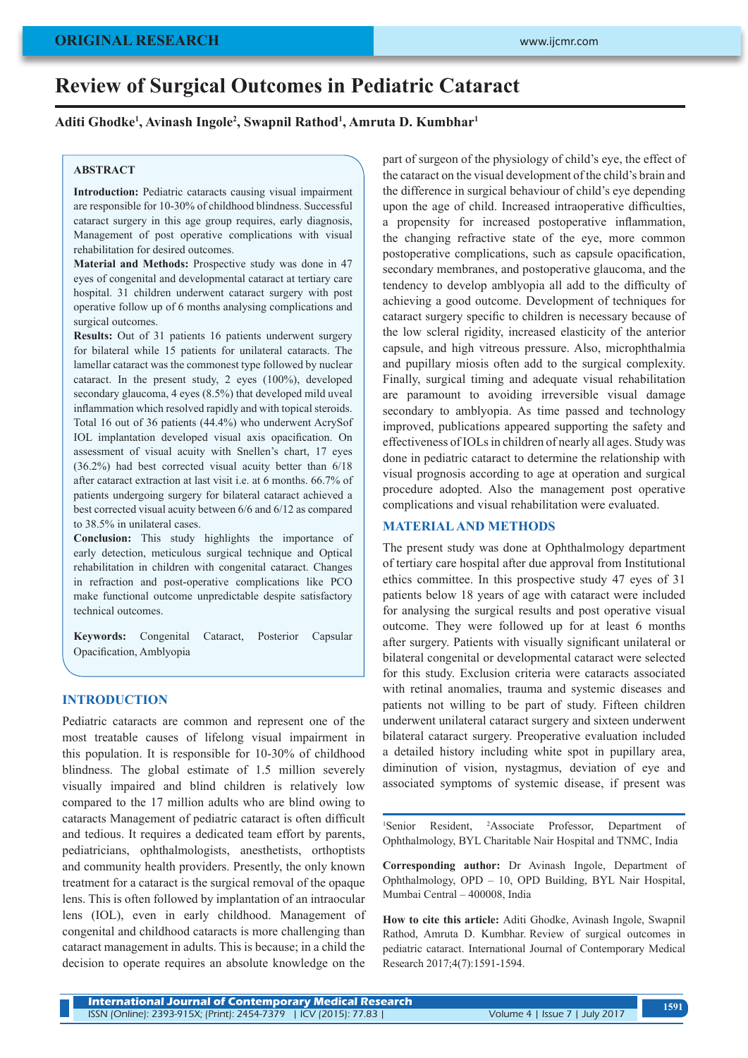# **Review of Surgical Outcomes in Pediatric Cataract**

**Aditi Ghodke1 , Avinash Ingole2 , Swapnil Rathod1 , Amruta D. Kumbhar1**

#### **ABSTRACT**

**Introduction:** Pediatric cataracts causing visual impairment are responsible for 10-30% of childhood blindness. Successful cataract surgery in this age group requires, early diagnosis, Management of post operative complications with visual rehabilitation for desired outcomes.

**Material and Methods:** Prospective study was done in 47 eyes of congenital and developmental cataract at tertiary care hospital. 31 children underwent cataract surgery with post operative follow up of 6 months analysing complications and surgical outcomes.

**Results:** Out of 31 patients 16 patients underwent surgery for bilateral while 15 patients for unilateral cataracts. The lamellar cataract was the commonest type followed by nuclear cataract. In the present study, 2 eyes (100%), developed secondary glaucoma, 4 eyes (8.5%) that developed mild uveal inflammation which resolved rapidly and with topical steroids. Total 16 out of 36 patients (44.4%) who underwent AcrySof IOL implantation developed visual axis opacification. On assessment of visual acuity with Snellen's chart, 17 eyes (36.2%) had best corrected visual acuity better than 6/18 after cataract extraction at last visit i.e. at 6 months. 66.7% of patients undergoing surgery for bilateral cataract achieved a best corrected visual acuity between 6/6 and 6/12 as compared to 38.5% in unilateral cases.

**Conclusion:** This study highlights the importance of early detection, meticulous surgical technique and Optical rehabilitation in children with congenital cataract. Changes in refraction and post-operative complications like PCO make functional outcome unpredictable despite satisfactory technical outcomes.

**Keywords:** Congenital Cataract, Posterior Capsular Opacification, Amblyopia

## **INTRODUCTION**

Pediatric cataracts are common and represent one of the most treatable causes of lifelong visual impairment in this population. It is responsible for 10-30% of childhood blindness. The global estimate of 1.5 million severely visually impaired and blind children is relatively low compared to the 17 million adults who are blind owing to cataracts Management of pediatric cataract is often difficult and tedious. It requires a dedicated team effort by parents, pediatricians, ophthalmologists, anesthetists, orthoptists and community health providers. Presently, the only known treatment for a cataract is the surgical removal of the opaque lens. This is often followed by implantation of an intraocular lens (IOL), even in early childhood. Management of congenital and childhood cataracts is more challenging than cataract management in adults. This is because; in a child the decision to operate requires an absolute knowledge on the

part of surgeon of the physiology of child's eye, the effect of the cataract on the visual development of the child's brain and the difference in surgical behaviour of child's eye depending upon the age of child. Increased intraoperative difficulties, a propensity for increased postoperative inflammation, the changing refractive state of the eye, more common postoperative complications, such as capsule opacification, secondary membranes, and postoperative glaucoma, and the tendency to develop amblyopia all add to the difficulty of achieving a good outcome. Development of techniques for cataract surgery specific to children is necessary because of the low scleral rigidity, increased elasticity of the anterior capsule, and high vitreous pressure. Also, microphthalmia and pupillary miosis often add to the surgical complexity. Finally, surgical timing and adequate visual rehabilitation are paramount to avoiding irreversible visual damage secondary to amblyopia. As time passed and technology improved, publications appeared supporting the safety and effectiveness of IOLs in children of nearly all ages. Study was done in pediatric cataract to determine the relationship with visual prognosis according to age at operation and surgical procedure adopted. Also the management post operative complications and visual rehabilitation were evaluated.

#### **MATERIAL AND METHODS**

The present study was done at Ophthalmology department of tertiary care hospital after due approval from Institutional ethics committee. In this prospective study 47 eyes of 31 patients below 18 years of age with cataract were included for analysing the surgical results and post operative visual outcome. They were followed up for at least 6 months after surgery. Patients with visually significant unilateral or bilateral congenital or developmental cataract were selected for this study. Exclusion criteria were cataracts associated with retinal anomalies, trauma and systemic diseases and patients not willing to be part of study. Fifteen children underwent unilateral cataract surgery and sixteen underwent bilateral cataract surgery. Preoperative evaluation included a detailed history including white spot in pupillary area, diminution of vision, nystagmus, deviation of eye and associated symptoms of systemic disease, if present was

<sup>1</sup>Senior Resident, <sup>2</sup>Associate Professor, Department of Ophthalmology, BYL Charitable Nair Hospital and TNMC, India

**Corresponding author:** Dr Avinash Ingole, Department of Ophthalmology, OPD – 10, OPD Building, BYL Nair Hospital, Mumbai Central – 400008, India

**How to cite this article:** Aditi Ghodke, Avinash Ingole, Swapnil Rathod, Amruta D. Kumbhar. Review of surgical outcomes in pediatric cataract. International Journal of Contemporary Medical Research 2017;4(7):1591-1594.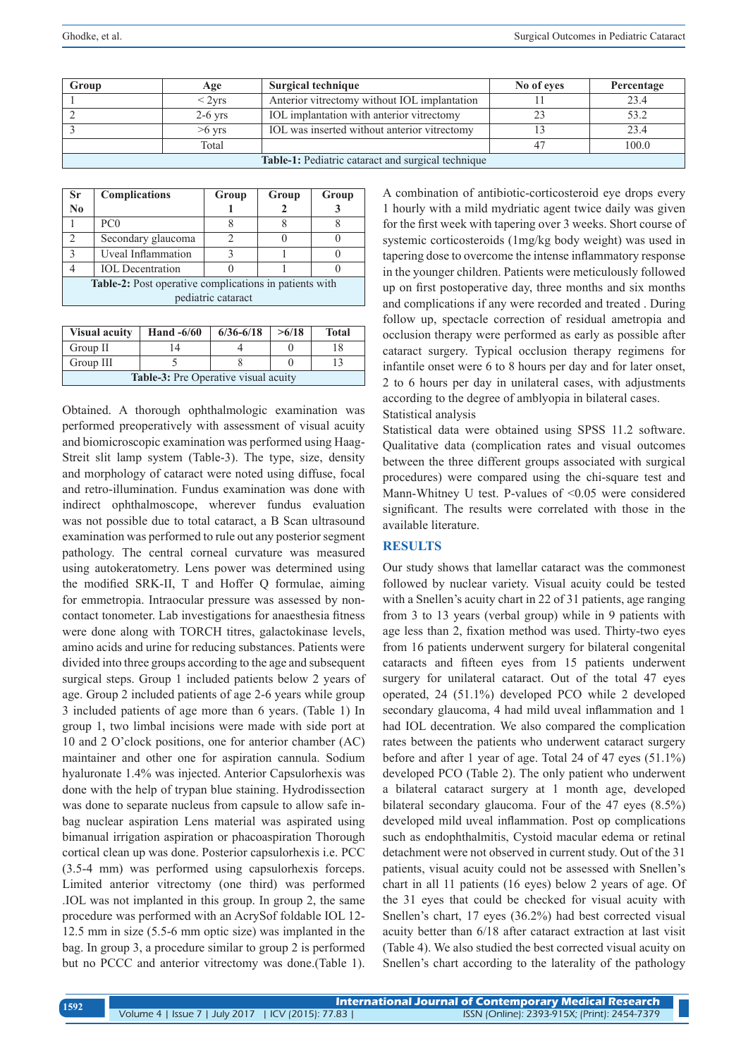| Group                                              | Age       | Surgical technique                           | No of eves | Percentage |
|----------------------------------------------------|-----------|----------------------------------------------|------------|------------|
|                                                    | $<$ 2yrs  | Anterior vitrectomy without IOL implantation |            | 23.4       |
|                                                    | $2-6$ yrs | IOL implantation with anterior vitrectomy    |            | 53.2       |
|                                                    | $>6$ yrs  | IOL was inserted without anterior vitrectomy |            | 23.4       |
|                                                    | Total     |                                              |            | 100.0      |
| Table-1: Pediatric cataract and surgical technique |           |                                              |            |            |

| <b>Sr</b>                                              | <b>Complications</b>    | Group | Group | Group |  |
|--------------------------------------------------------|-------------------------|-------|-------|-------|--|
| $\mathbf{N}\mathbf{0}$                                 |                         |       |       |       |  |
|                                                        | PC <sub>0</sub>         |       |       |       |  |
| $\overline{2}$                                         | Secondary glaucoma      |       |       |       |  |
| $\mathbf{3}$                                           | Uveal Inflammation      |       |       |       |  |
|                                                        | <b>IOL</b> Decentration |       |       |       |  |
| Table-2: Post operative complications in patients with |                         |       |       |       |  |
| pediatric cataract                                     |                         |       |       |       |  |
|                                                        |                         |       |       |       |  |

| <b>Visual acuity</b>                        | Hand $-6/60$ | $6/36 - 6/18$ | >6/18 | <b>Total</b> |  |
|---------------------------------------------|--------------|---------------|-------|--------------|--|
| Group II                                    | 4،           |               |       |              |  |
| Group III                                   |              |               |       |              |  |
| <b>Table-3:</b> Pre Operative visual acuity |              |               |       |              |  |

Obtained. A thorough ophthalmologic examination was performed preoperatively with assessment of visual acuity and biomicroscopic examination was performed using Haag-Streit slit lamp system (Table-3). The type, size, density and morphology of cataract were noted using diffuse, focal and retro-illumination. Fundus examination was done with indirect ophthalmoscope, wherever fundus evaluation was not possible due to total cataract, a B Scan ultrasound examination was performed to rule out any posterior segment pathology. The central corneal curvature was measured using autokeratometry. Lens power was determined using the modified SRK-II, T and Hoffer Q formulae, aiming for emmetropia. Intraocular pressure was assessed by noncontact tonometer. Lab investigations for anaesthesia fitness were done along with TORCH titres, galactokinase levels, amino acids and urine for reducing substances. Patients were divided into three groups according to the age and subsequent surgical steps. Group 1 included patients below 2 years of age. Group 2 included patients of age 2-6 years while group 3 included patients of age more than 6 years. (Table 1) In group 1, two limbal incisions were made with side port at 10 and 2 O'clock positions, one for anterior chamber (AC) maintainer and other one for aspiration cannula. Sodium hyaluronate 1.4% was injected. Anterior Capsulorhexis was done with the help of trypan blue staining. Hydrodissection was done to separate nucleus from capsule to allow safe inbag nuclear aspiration Lens material was aspirated using bimanual irrigation aspiration or phacoaspiration Thorough cortical clean up was done. Posterior capsulorhexis i.e. PCC (3.5-4 mm) was performed using capsulorhexis forceps. Limited anterior vitrectomy (one third) was performed .IOL was not implanted in this group. In group 2, the same procedure was performed with an AcrySof foldable IOL 12- 12.5 mm in size (5.5-6 mm optic size) was implanted in the bag. In group 3, a procedure similar to group 2 is performed but no PCCC and anterior vitrectomy was done.(Table 1).

A combination of antibiotic-corticosteroid eye drops every 1 hourly with a mild mydriatic agent twice daily was given for the first week with tapering over 3 weeks. Short course of systemic corticosteroids (1mg/kg body weight) was used in tapering dose to overcome the intense inflammatory response in the younger children. Patients were meticulously followed up on first postoperative day, three months and six months and complications if any were recorded and treated . During follow up, spectacle correction of residual ametropia and occlusion therapy were performed as early as possible after cataract surgery. Typical occlusion therapy regimens for infantile onset were 6 to 8 hours per day and for later onset, 2 to 6 hours per day in unilateral cases, with adjustments according to the degree of amblyopia in bilateral cases. Statistical analysis

Statistical data were obtained using SPSS 11.2 software. Qualitative data (complication rates and visual outcomes between the three different groups associated with surgical procedures) were compared using the chi-square test and Mann-Whitney U test. P-values of <0.05 were considered significant. The results were correlated with those in the available literature.

## **RESULTS**

Our study shows that lamellar cataract was the commonest followed by nuclear variety. Visual acuity could be tested with a Snellen's acuity chart in 22 of 31 patients, age ranging from 3 to 13 years (verbal group) while in 9 patients with age less than 2, fixation method was used. Thirty-two eyes from 16 patients underwent surgery for bilateral congenital cataracts and fifteen eyes from 15 patients underwent surgery for unilateral cataract. Out of the total 47 eyes operated, 24 (51.1%) developed PCO while 2 developed secondary glaucoma, 4 had mild uveal inflammation and 1 had IOL decentration. We also compared the complication rates between the patients who underwent cataract surgery before and after 1 year of age. Total 24 of 47 eyes (51.1%) developed PCO (Table 2). The only patient who underwent a bilateral cataract surgery at 1 month age, developed bilateral secondary glaucoma. Four of the 47 eyes (8.5%) developed mild uveal inflammation. Post op complications such as endophthalmitis, Cystoid macular edema or retinal detachment were not observed in current study. Out of the 31 patients, visual acuity could not be assessed with Snellen's chart in all 11 patients (16 eyes) below 2 years of age. Of the 31 eyes that could be checked for visual acuity with Snellen's chart, 17 eyes (36.2%) had best corrected visual acuity better than 6/18 after cataract extraction at last visit (Table 4). We also studied the best corrected visual acuity on Snellen's chart according to the laterality of the pathology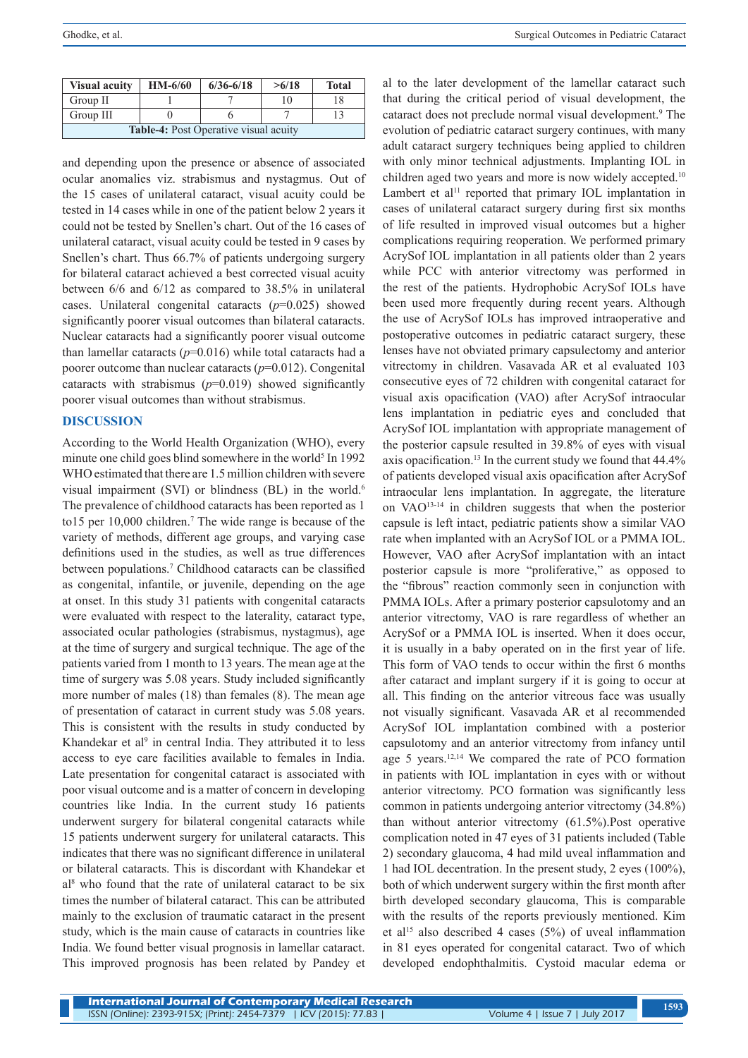| <b>Visual acuity</b>                  | $HM-6/60$ | $6/36 - 6/18$ | >6/18 | <b>Total</b> |  |
|---------------------------------------|-----------|---------------|-------|--------------|--|
| Group II                              |           |               | 10    |              |  |
| Group III                             |           |               |       |              |  |
| Table-4: Post Operative visual acuity |           |               |       |              |  |

and depending upon the presence or absence of associated ocular anomalies viz. strabismus and nystagmus. Out of the 15 cases of unilateral cataract, visual acuity could be tested in 14 cases while in one of the patient below 2 years it could not be tested by Snellen's chart. Out of the 16 cases of unilateral cataract, visual acuity could be tested in 9 cases by Snellen's chart. Thus 66.7% of patients undergoing surgery for bilateral cataract achieved a best corrected visual acuity between 6/6 and 6/12 as compared to 38.5% in unilateral cases. Unilateral congenital cataracts (*p*=0.025) showed significantly poorer visual outcomes than bilateral cataracts. Nuclear cataracts had a significantly poorer visual outcome than lamellar cataracts  $(p=0.016)$  while total cataracts had a poorer outcome than nuclear cataracts (*p*=0.012). Congenital cataracts with strabismus (*p*=0.019) showed significantly poorer visual outcomes than without strabismus.

## **DISCUSSION**

According to the World Health Organization (WHO), every minute one child goes blind somewhere in the world<sup>5</sup> In 1992 WHO estimated that there are 1.5 million children with severe visual impairment (SVI) or blindness (BL) in the world.<sup>6</sup> The prevalence of childhood cataracts has been reported as 1 to15 per 10,000 children.<sup>7</sup> The wide range is because of the variety of methods, different age groups, and varying case definitions used in the studies, as well as true differences between populations.7 Childhood cataracts can be classified as congenital, infantile, or juvenile, depending on the age at onset. In this study 31 patients with congenital cataracts were evaluated with respect to the laterality, cataract type, associated ocular pathologies (strabismus, nystagmus), age at the time of surgery and surgical technique. The age of the patients varied from 1 month to 13 years. The mean age at the time of surgery was 5.08 years. Study included significantly more number of males (18) than females (8). The mean age of presentation of cataract in current study was 5.08 years. This is consistent with the results in study conducted by Khandekar et al<sup>9</sup> in central India. They attributed it to less access to eye care facilities available to females in India. Late presentation for congenital cataract is associated with poor visual outcome and is a matter of concern in developing countries like India. In the current study 16 patients underwent surgery for bilateral congenital cataracts while 15 patients underwent surgery for unilateral cataracts. This indicates that there was no significant difference in unilateral or bilateral cataracts. This is discordant with Khandekar et al8 who found that the rate of unilateral cataract to be six times the number of bilateral cataract. This can be attributed mainly to the exclusion of traumatic cataract in the present study, which is the main cause of cataracts in countries like India. We found better visual prognosis in lamellar cataract. This improved prognosis has been related by Pandey et

al to the later development of the lamellar cataract such that during the critical period of visual development, the cataract does not preclude normal visual development.<sup>9</sup> The evolution of pediatric cataract surgery continues, with many adult cataract surgery techniques being applied to children with only minor technical adjustments. Implanting IOL in children aged two years and more is now widely accepted.<sup>10</sup> Lambert et al<sup>11</sup> reported that primary IOL implantation in cases of unilateral cataract surgery during first six months of life resulted in improved visual outcomes but a higher complications requiring reoperation. We performed primary AcrySof IOL implantation in all patients older than 2 years while PCC with anterior vitrectomy was performed in the rest of the patients. Hydrophobic AcrySof IOLs have been used more frequently during recent years. Although the use of AcrySof IOLs has improved intraoperative and postoperative outcomes in pediatric cataract surgery, these lenses have not obviated primary capsulectomy and anterior vitrectomy in children. Vasavada AR et al evaluated 103 consecutive eyes of 72 children with congenital cataract for visual axis opacification (VAO) after AcrySof intraocular lens implantation in pediatric eyes and concluded that AcrySof IOL implantation with appropriate management of the posterior capsule resulted in 39.8% of eyes with visual axis opacification.<sup>13</sup> In the current study we found that  $44.4\%$ of patients developed visual axis opacification after AcrySof intraocular lens implantation. In aggregate, the literature on VAO13-14 in children suggests that when the posterior capsule is left intact, pediatric patients show a similar VAO rate when implanted with an AcrySof IOL or a PMMA IOL. However, VAO after AcrySof implantation with an intact posterior capsule is more "proliferative," as opposed to the "fibrous" reaction commonly seen in conjunction with PMMA IOLs. After a primary posterior capsulotomy and an anterior vitrectomy, VAO is rare regardless of whether an AcrySof or a PMMA IOL is inserted. When it does occur, it is usually in a baby operated on in the first year of life. This form of VAO tends to occur within the first 6 months after cataract and implant surgery if it is going to occur at all. This finding on the anterior vitreous face was usually not visually significant. Vasavada AR et al recommended AcrySof IOL implantation combined with a posterior capsulotomy and an anterior vitrectomy from infancy until age 5 years.12,14 We compared the rate of PCO formation in patients with IOL implantation in eyes with or without anterior vitrectomy. PCO formation was significantly less common in patients undergoing anterior vitrectomy (34.8%) than without anterior vitrectomy (61.5%).Post operative complication noted in 47 eyes of 31 patients included (Table 2) secondary glaucoma, 4 had mild uveal inflammation and 1 had IOL decentration. In the present study, 2 eyes (100%), both of which underwent surgery within the first month after birth developed secondary glaucoma, This is comparable with the results of the reports previously mentioned. Kim et al<sup>15</sup> also described 4 cases  $(5%)$  of uveal inflammation in 81 eyes operated for congenital cataract. Two of which developed endophthalmitis. Cystoid macular edema or